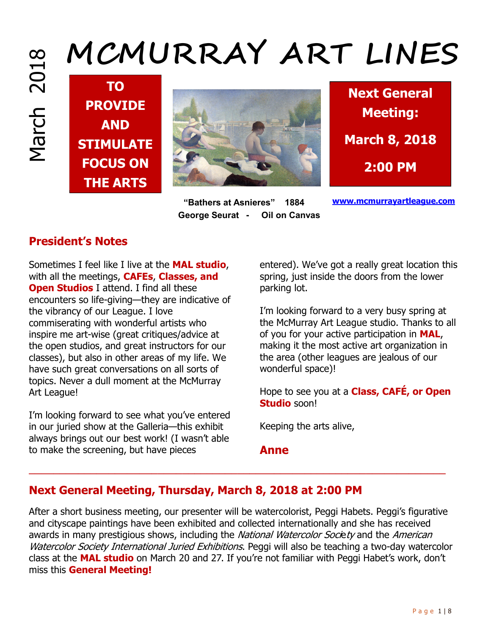# **MCMURRAY ART LINES**

**TO PROVIDE AND STIMULATE FOCUS ON THE ARTS**



 **"Bathers at Asnieres" 1884 George Seurat - Oil on Canvas** 



**www.mcmurrayartleague.com**

## **President's Notes**

Sometimes I feel like I live at the **MAL studio**, with all the meetings, **CAFEs**, **Classes, and Open Studios** I attend. I find all these encounters so life-giving—they are indicative of the vibrancy of our League. I love commiserating with wonderful artists who inspire me art-wise (great critiques/advice at the open studios, and great instructors for our classes), but also in other areas of my life. We have such great conversations on all sorts of topics. Never a dull moment at the McMurray Art League!

I'm looking forward to see what you've entered in our juried show at the Galleria—this exhibit always brings out our best work! (I wasn't able to make the screening, but have pieces

entered). We've got a really great location this spring, just inside the doors from the lower parking lot.

I'm looking forward to a very busy spring at the McMurray Art League studio. Thanks to all of you for your active participation in **MAL**, making it the most active art organization in the area (other leagues are jealous of our wonderful space)!

Hope to see you at a **Class, CAFÉ, or Open Studio** soon!

Keeping the arts alive,

**Anne** 

# **Next General Meeting, Thursday, March 8, 2018 at 2:00 PM**

After a short business meeting, our presenter will be watercolorist, Peggi Habets. Peggi's figurative and cityscape paintings have been exhibited and collected internationally and she has received awards in many prestigious shows, including the National Watercolor Society and the American Watercolor Society International Juried Exhibitions. Peggi will also be teaching a two-day watercolor class at the **MAL studio** on March 20 and 27. If you're not familiar with Peggi Habet's work, don't miss this **General Meeting!** 

 $\overline{\phantom{a}}$  , and the contribution of the contribution of the contribution of the contribution of the contribution of the contribution of the contribution of the contribution of the contribution of the contribution of the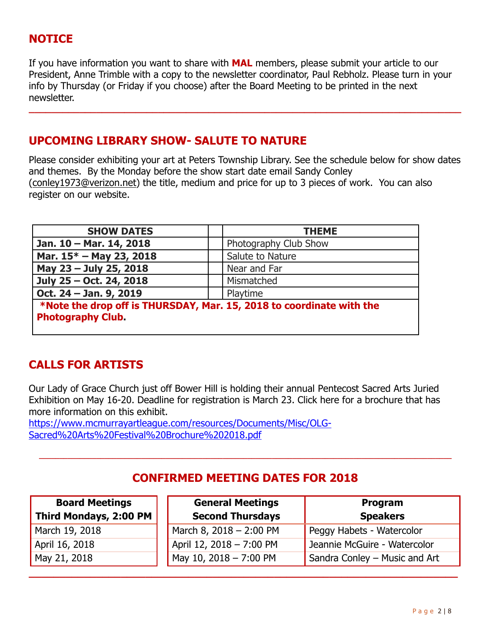## **NOTICE**

If you have information you want to share with **MAL** members, please submit your article to our President, Anne Trimble with a copy to the newsletter coordinator, Paul Rebholz. Please turn in your info by Thursday (or Friday if you choose) after the Board Meeting to be printed in the next newsletter.

**\_\_\_\_\_\_\_\_\_\_\_\_\_\_\_\_\_\_\_\_\_\_\_\_\_\_\_\_\_\_\_\_\_\_\_\_\_\_\_\_\_\_\_\_\_\_\_\_\_\_\_\_\_\_\_\_\_\_\_\_\_\_\_\_\_\_\_\_\_\_\_\_\_\_\_\_\_**

#### **UPCOMING LIBRARY SHOW- SALUTE TO NATURE**

Please consider exhibiting your art at Peters Township Library. See the schedule below for show dates and themes. By the Monday before the show start date email Sandy Conley (conley1973@verizon.net) the title, medium and price for up to 3 pieces of work. You can also register on our website.

| <b>SHOW DATES</b>                                                                                | <b>THEME</b>          |  |  |
|--------------------------------------------------------------------------------------------------|-----------------------|--|--|
| Jan. 10 - Mar. 14, 2018                                                                          | Photography Club Show |  |  |
| Mar. 15* - May 23, 2018                                                                          | Salute to Nature      |  |  |
| May 23 - July 25, 2018                                                                           | Near and Far          |  |  |
| July 25 - Oct. 24, 2018                                                                          | Mismatched            |  |  |
| Oct. 24 - Jan. 9, 2019                                                                           | Playtime              |  |  |
| *Note the drop off is THURSDAY, Mar. 15, 2018 to coordinate with the<br><b>Photography Club.</b> |                       |  |  |

#### **CALLS FOR ARTISTS**

Our Lady of Grace Church just off Bower Hill is holding their annual Pentecost Sacred Arts Juried Exhibition on May 16-20. Deadline for registration is March 23. Click here for a brochure that has more information on this exhibit.

https://www.mcmurrayartleague.com/resources/Documents/Misc/OLG-Sacred%20Arts%20Festival%20Brochure%202018.pdf

#### **CONFIRMED MEETING DATES FOR 2018**

**\_\_\_\_\_\_\_\_\_\_\_\_\_\_\_\_\_\_\_\_\_\_\_\_\_\_\_\_\_\_\_\_\_\_\_\_\_\_\_\_\_\_\_\_\_\_\_\_\_\_\_\_\_\_\_\_\_\_\_\_\_\_\_\_\_\_\_\_\_\_**

**\_\_\_\_\_\_\_\_\_\_\_\_\_\_\_\_\_\_\_\_\_\_\_\_\_\_\_\_\_\_\_\_\_\_\_\_\_\_\_\_\_\_\_\_\_\_\_\_\_\_\_\_\_\_\_\_\_\_\_\_\_\_\_\_\_\_\_\_\_\_\_\_\_\_\_\_\_\_\_\_\_\_\_\_\_\_\_\_\_\_\_\_\_\_\_\_\_\_\_\_\_** 

| <b>Board Meetings</b>         |  |  |  |
|-------------------------------|--|--|--|
| <b>Third Mondays, 2:00 PM</b> |  |  |  |

March 19, 2018 April 16, 2018 May 21, 2018

| <b>General Meetings</b>   | Program                       |  |
|---------------------------|-------------------------------|--|
| <b>Second Thursdays</b>   | <b>Speakers</b>               |  |
| March 8, $2018 - 2:00$ PM | Peggy Habets - Watercolor     |  |
| April 12, 2018 - 7:00 PM  | Jeannie McGuire - Watercolor  |  |
| May 10, 2018 - 7:00 PM    | Sandra Conley - Music and Art |  |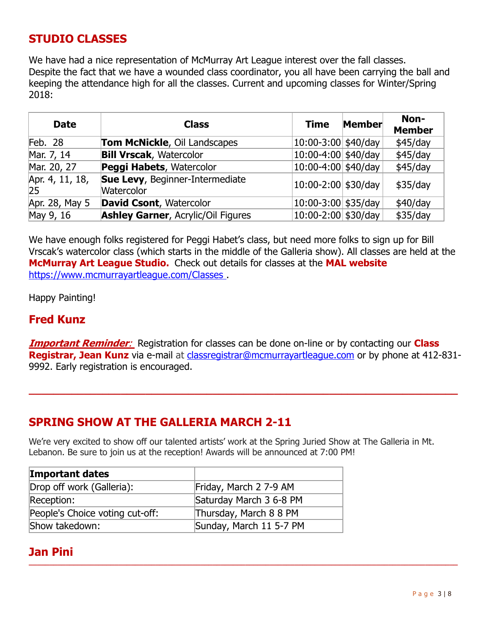#### **STUDIO CLASSES**

We have had a nice representation of McMurray Art League interest over the fall classes. Despite the fact that we have a wounded class coordinator, you all have been carrying the ball and keeping the attendance high for all the classes. Current and upcoming classes for Winter/Spring 2018:

| <b>Date</b>           | <b>Class</b>                                  | <b>Time</b>             | Member | Non-<br><b>Member</b> |
|-----------------------|-----------------------------------------------|-------------------------|--------|-----------------------|
| Feb. $28$             | <b>Tom McNickle, Oil Landscapes</b>           | $10:00-3:00$ \$40/day   |        | \$45/day              |
| Mar. 7, 14            | <b>Bill Vrscak, Watercolor</b>                | $10:00-4:00$ \$40/day   |        | \$45/day              |
| Mar. 20, 27           | Peggi Habets, Watercolor                      | $10:00-4:00$ \$40/day   |        | \$45/day              |
| Apr. 4, 11, 18,<br>25 | Sue Levy, Beginner-Intermediate<br>Watercolor | $10:00 - 2:00$ \$30/day |        | \$35/day              |
| Apr. 28, May 5        | <b>David Csont, Watercolor</b>                | $10:00 - 3:00$ \$35/day |        | \$40/day              |
| May 9, 16             | <b>Ashley Garner, Acrylic/Oil Figures</b>     | $10:00 - 2:00$ \$30/day |        | \$35/day              |

We have enough folks registered for Peggi Habet's class, but need more folks to sign up for Bill Vrscak's watercolor class (which starts in the middle of the Galleria show). All classes are held at the **McMurray Art League Studio.** Check out details for classes at the **MAL website** https://www.mcmurrayartleague.com/Classes .

Happy Painting!

#### **Fred Kunz**

**Important Reminder**: Registration for classes can be done on-line or by contacting our **Class Registrar, Jean Kunz** via e-mail at classregistrar@mcmurrayartleague.com or by phone at 412-831- 9992. Early registration is encouraged.

**\_\_\_\_\_\_\_\_\_\_\_\_\_\_\_\_\_\_\_\_\_\_\_\_\_\_\_\_\_\_\_\_\_\_\_\_\_\_\_\_\_\_\_\_\_\_\_\_\_\_\_\_\_\_\_\_\_\_\_\_\_\_\_\_\_\_\_\_\_\_** 

#### **SPRING SHOW AT THE GALLERIA MARCH 2-11**

We're very excited to show off our talented artists' work at the Spring Juried Show at The Galleria in Mt. Lebanon. Be sure to join us at the reception! Awards will be announced at 7:00 PM!

**\_\_\_\_\_\_\_\_\_\_\_\_\_\_\_\_\_\_\_\_\_\_\_\_\_\_\_\_\_\_\_\_\_\_\_\_\_\_\_\_\_\_\_\_\_\_\_\_\_\_\_\_\_\_\_\_\_\_\_\_\_\_\_\_\_\_\_\_\_\_\_\_\_\_\_\_\_\_\_\_\_\_\_\_\_\_\_\_\_\_\_\_\_\_\_\_\_\_\_\_\_\_\_\_\_** 

| <b>Important dates</b>          |                         |
|---------------------------------|-------------------------|
| Drop off work (Galleria):       | Friday, March 2 7-9 AM  |
| Reception:                      | Saturday March 3 6-8 PM |
| People's Choice voting cut-off: | Thursday, March 8 8 PM  |
| Show takedown:                  | Sunday, March 11 5-7 PM |

#### **Jan Pini**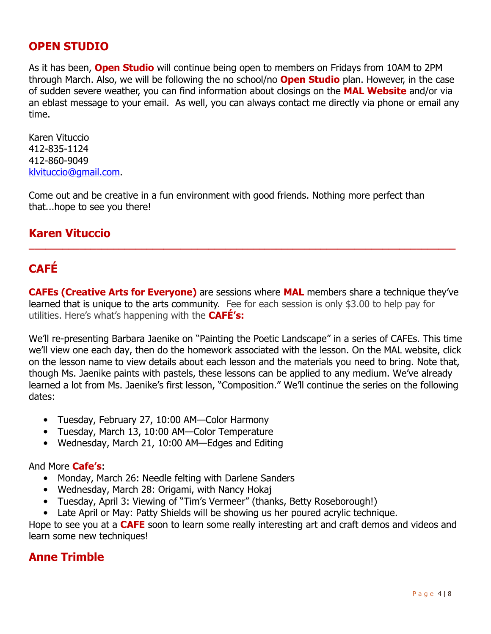#### **OPEN STUDIO**

As it has been, **Open Studio** will continue being open to members on Fridays from 10AM to 2PM through March. Also, we will be following the no school/no **Open Studio** plan. However, in the case of sudden severe weather, you can find information about closings on the **MAL Website** and/or via an eblast message to your email. As well, you can always contact me directly via phone or email any time.

Karen Vituccio 412-835-1124 412-860-9049 klvituccio@gmail.com.

Come out and be creative in a fun environment with good friends. Nothing more perfect than that...hope to see you there!

#### **Karen Vituccio**

# **CAFÉ**

**CAFEs (Creative Arts for Everyone)** are sessions where **MAL** members share a technique they've learned that is unique to the arts community. Fee for each session is only \$3.00 to help pay for utilities. Here's what's happening with the **CAFÉ's:**

**\_\_\_\_\_\_\_\_\_\_\_\_\_\_\_\_\_\_\_\_\_\_\_\_\_\_\_\_\_\_\_\_\_\_\_\_\_\_\_\_\_\_\_\_\_\_\_\_\_\_\_\_\_\_\_\_\_\_\_\_\_\_\_\_\_\_\_\_\_\_\_\_\_\_\_\_** 

We'll re-presenting Barbara Jaenike on "Painting the Poetic Landscape" in a series of CAFEs. This time we'll view one each day, then do the homework associated with the lesson. On the MAL website, click on the lesson name to view details about each lesson and the materials you need to bring. Note that, though Ms. Jaenike paints with pastels, these lessons can be applied to any medium. We've already learned a lot from Ms. Jaenike's first lesson, "Composition." We'll continue the series on the following dates:

- Tuesday, February 27, 10:00 AM—Color Harmony
- Tuesday, March 13, 10:00 AM—Color Temperature
- Wednesday, March 21, 10:00 AM—Edges and Editing

#### And More **Cafe's**:

- Monday, March 26: Needle felting with Darlene Sanders
- Wednesday, March 28: Origami, with Nancy Hokaj
- Tuesday, April 3: Viewing of "Tim's Vermeer" (thanks, Betty Roseborough!)

• Late April or May: Patty Shields will be showing us her poured acrylic technique.

Hope to see you at a **CAFE** soon to learn some really interesting art and craft demos and videos and learn some new techniques!

#### **Anne Trimble**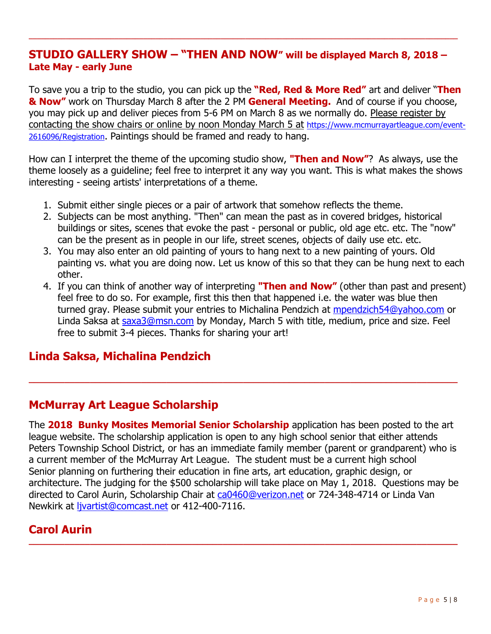#### **STUDIO GALLERY SHOW – "THEN AND NOW" will be displayed March 8, 2018 – Late May - early June**

**\_\_\_\_\_\_\_\_\_\_\_\_\_\_\_\_\_\_\_\_\_\_\_\_\_\_\_\_\_\_\_\_\_\_\_\_\_\_\_\_\_\_\_\_\_\_\_\_\_\_\_\_\_\_\_\_\_\_\_\_\_\_\_\_\_\_\_\_\_\_\_\_\_\_\_\_\_\_\_\_\_\_\_\_\_\_\_\_\_\_\_\_\_\_\_\_\_\_\_\_\_\_\_\_\_** 

To save you a trip to the studio, you can pick up the **"Red, Red & More Red"** art and deliver "**Then & Now"** work on Thursday March 8 after the 2 PM **General Meeting.** And of course if you choose, you may pick up and deliver pieces from 5-6 PM on March 8 as we normally do. Please register by contacting the show chairs or online by noon Monday March 5 at https://www.mcmurrayartleague.com/event-2616096/Registration. Paintings should be framed and ready to hang.

How can I interpret the theme of the upcoming studio show, **"Then and Now"**? As always, use the theme loosely as a guideline; feel free to interpret it any way you want. This is what makes the shows interesting - seeing artists' interpretations of a theme.

- 1. Submit either single pieces or a pair of artwork that somehow reflects the theme.
- 2. Subjects can be most anything. "Then" can mean the past as in covered bridges, historical buildings or sites, scenes that evoke the past - personal or public, old age etc. etc. The "now" can be the present as in people in our life, street scenes, objects of daily use etc. etc.
- 3. You may also enter an old painting of yours to hang next to a new painting of yours. Old painting vs. what you are doing now. Let us know of this so that they can be hung next to each other.
- 4. If you can think of another way of interpreting **"Then and Now"** (other than past and present) feel free to do so. For example, first this then that happened i.e. the water was blue then turned gray. Please submit your entries to Michalina Pendzich at mpendzich54@yahoo.com or Linda Saksa at saxa3@msn.com by Monday, March 5 with title, medium, price and size. Feel free to submit 3-4 pieces. Thanks for sharing your art!

## **Linda Saksa, Michalina Pendzich**

## **McMurray Art League Scholarship**

The **2018 Bunky Mosites Memorial Senior Scholarship** application has been posted to the art league website. The scholarship application is open to any high school senior that either attends Peters Township School District, or has an immediate family member (parent or grandparent) who is a current member of the McMurray Art League. The student must be a current high school Senior planning on furthering their education in fine arts, art education, graphic design, or architecture. The judging for the \$500 scholarship will take place on May 1, 2018. Questions may be directed to Carol Aurin, Scholarship Chair at ca0460@verizon.net or 724-348-4714 or Linda Van Newkirk at ljvartist@comcast.net or 412-400-7116.

**\_\_\_\_\_\_\_\_\_\_\_\_\_\_\_\_\_\_\_\_\_\_\_\_\_\_\_\_\_\_\_\_\_\_\_\_\_\_\_\_\_\_\_\_\_\_\_\_\_\_\_\_\_\_\_\_\_\_\_\_\_\_\_\_\_\_\_\_\_\_\_\_\_\_\_\_\_\_\_\_\_\_\_\_** 

**\_\_\_\_\_\_\_\_\_\_\_\_\_\_\_\_\_\_\_\_\_\_\_\_\_\_\_\_\_\_\_\_\_\_\_\_\_\_\_\_\_\_\_\_\_\_\_\_\_\_\_\_\_\_\_\_\_\_\_\_\_\_\_\_\_\_\_\_\_\_\_\_\_\_\_\_\_\_\_\_\_\_\_\_** 

## **Carol Aurin**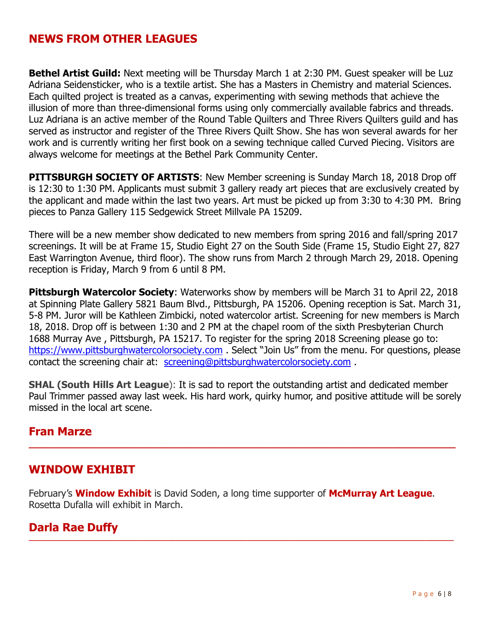## **NEWS FROM OTHER LEAGUES**

**Bethel Artist Guild:** Next meeting will be Thursday March 1 at 2:30 PM. Guest speaker will be Luz Adriana Seidensticker, who is a textile artist. She has a Masters in Chemistry and material Sciences. Each quilted project is treated as a canvas, experimenting with sewing methods that achieve the illusion of more than three-dimensional forms using only commercially available fabrics and threads. Luz Adriana is an active member of the Round Table Quilters and Three Rivers Quilters guild and has served as instructor and register of the Three Rivers Quilt Show. She has won several awards for her work and is currently writing her first book on a sewing technique called Curved Piecing. Visitors are always welcome for meetings at the Bethel Park Community Center.

**PITTSBURGH SOCIETY OF ARTISTS:** New Member screening is Sunday March 18, 2018 Drop off is 12:30 to 1:30 PM. Applicants must submit 3 gallery ready art pieces that are exclusively created by the applicant and made within the last two years. Art must be picked up from 3:30 to 4:30 PM. Bring pieces to Panza Gallery 115 Sedgewick Street Millvale PA 15209.

There will be a new member show dedicated to new members from spring 2016 and fall/spring 2017 screenings. It will be at Frame 15, Studio Eight 27 on the South Side (Frame 15, Studio Eight 27, 827 East Warrington Avenue, third floor). The show runs from March 2 through March 29, 2018. Opening reception is Friday, March 9 from 6 until 8 PM.

**Pittsburgh Watercolor Society:** Waterworks show by members will be March 31 to April 22, 2018 at Spinning Plate Gallery 5821 Baum Blvd., Pittsburgh, PA 15206. Opening reception is Sat. March 31, 5-8 PM. Juror will be Kathleen Zimbicki, noted watercolor artist. Screening for new members is March 18, 2018. Drop off is between 1:30 and 2 PM at the chapel room of the sixth Presbyterian Church 1688 Murray Ave , Pittsburgh, PA 15217. To register for the spring 2018 Screening please go to: https://www.pittsburghwatercolorsociety.com . Select "Join Us" from the menu. For questions, please contact the screening chair at: screening@pittsburghwatercolorsociety.com .

**SHAL (South Hills Art League**): It is sad to report the outstanding artist and dedicated member Paul Trimmer passed away last week. His hard work, quirky humor, and positive attitude will be sorely missed in the local art scene.

**\_\_\_\_\_\_\_\_\_\_\_\_\_\_\_\_\_\_\_\_\_\_\_\_\_\_\_\_\_\_\_\_\_\_\_\_\_\_\_\_\_\_\_\_\_\_\_\_\_\_\_\_\_\_\_\_\_\_\_\_\_\_\_\_\_\_\_\_\_\_\_\_\_\_\_\_**

#### **Fran Marze**

#### **WINDOW EXHIBIT**

February's **Window Exhibit** is David Soden, a long time supporter of **McMurray Art League**. Rosetta Dufalla will exhibit in March.

**\_\_\_\_\_\_\_\_\_\_\_\_\_\_\_\_\_\_\_\_\_\_\_\_\_\_\_\_\_\_\_\_\_\_\_\_\_\_\_\_\_\_\_\_\_\_\_\_\_\_\_\_\_\_\_\_\_\_\_\_\_\_\_\_\_\_\_\_\_\_\_\_\_\_\_\_\_\_\_\_\_\_\_\_\_\_\_\_\_\_\_\_\_\_\_\_\_\_\_\_\_\_\_\_** 

#### **Darla Rae Duffy**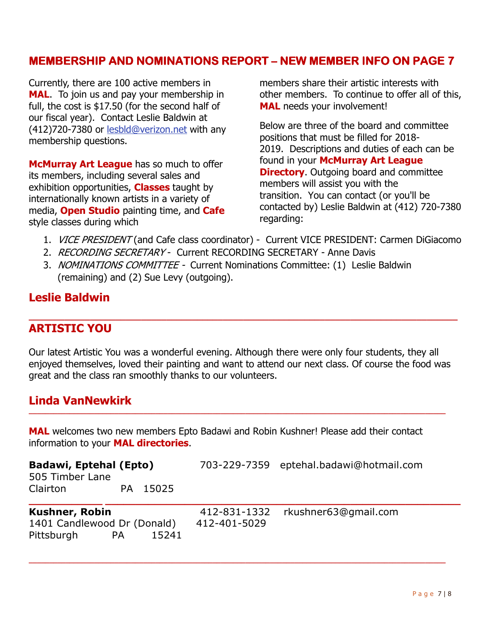#### **MEMBERSHIP AND NOMINATIONS REPORT – NEW MEMBER INFO ON PAGE 7**

Currently, there are 100 active members in **MAL**. To join us and pay your membership in full, the cost is \$17.50 (for the second half of our fiscal year). Contact Leslie Baldwin at (412)720-7380 or lesbld@verizon.net with any membership questions.

**McMurray Art League** has so much to offer its members, including several sales and exhibition opportunities, **Classes** taught by internationally known artists in a variety of media, **Open Studio** painting time, and **Cafe** style classes during which

members share their artistic interests with other members. To continue to offer all of this, **MAL** needs your involvement!

Below are three of the board and committee positions that must be filled for 2018- 2019. Descriptions and duties of each can be found in your **McMurray Art League Directory**. Outgoing board and committee members will assist you with the transition. You can contact (or you'll be contacted by) Leslie Baldwin at (412) 720-7380 regarding:

- 1. *VICE PRESIDENT* (and Cafe class coordinator) Current VICE PRESIDENT: Carmen DiGiacomo
- 2. RECORDING SECRETARY Current RECORDING SECRETARY Anne Davis
- 3. NOMINATIONS COMMITTEE Current Nominations Committee: (1) Leslie Baldwin (remaining) and (2) Sue Levy (outgoing).

#### **Leslie Baldwin**

#### **ARTISTIC YOU**

Our latest Artistic You was a wonderful evening. Although there were only four students, they all enjoyed themselves, loved their painting and want to attend our next class. Of course the food was great and the class ran smoothly thanks to our volunteers.

**\_\_\_\_\_\_\_\_\_\_\_\_\_\_\_\_\_\_\_\_\_\_\_\_\_\_\_\_\_\_\_\_\_\_\_\_\_\_\_\_\_\_\_\_\_\_\_\_\_\_\_\_\_\_\_\_\_\_\_\_\_\_\_\_\_\_\_\_\_\_\_\_\_\_\_\_\_\_\_\_\_\_\_\_\_\_\_\_\_\_\_\_\_\_\_\_\_\_\_\_\_\_**

**\_\_\_\_\_\_\_\_\_\_\_\_\_\_\_\_\_\_\_\_\_\_\_\_\_\_\_\_\_\_\_\_\_\_\_\_\_\_\_\_\_\_\_\_\_\_\_\_\_\_\_\_\_\_\_\_\_\_\_\_\_\_\_\_\_\_\_\_\_\_\_\_\_\_\_\_\_\_\_\_\_\_\_\_** 

#### **Linda VanNewkirk**

**MAL** welcomes two new members Epto Badawi and Robin Kushner! Please add their contact information to your **MAL directories**.

| <b>Badawi, Eptehal (Epto)</b><br>505 Timber Lane<br>Clairton                      |  | PA 15025     |                                   | 703-229-7359 eptehal.badawi@hotmail.com |  |
|-----------------------------------------------------------------------------------|--|--------------|-----------------------------------|-----------------------------------------|--|
| <b>Kushner, Robin</b><br>1401 Candlewood Dr (Donald)<br>Pittsburgh<br>PA<br>15241 |  | 412-401-5029 | 412-831-1332 rkushner63@qmail.com |                                         |  |

**\_\_\_\_\_\_\_\_\_\_\_\_\_\_\_\_\_\_\_\_\_\_\_\_\_\_\_\_\_\_\_\_\_\_\_\_\_\_\_\_\_\_\_\_\_\_\_\_\_\_\_\_\_\_\_\_\_\_\_\_\_\_\_\_\_\_\_\_\_\_\_\_\_\_\_\_\_\_\_\_\_\_\_\_\_\_\_\_\_\_\_\_\_\_\_\_\_\_\_\_\_\_**